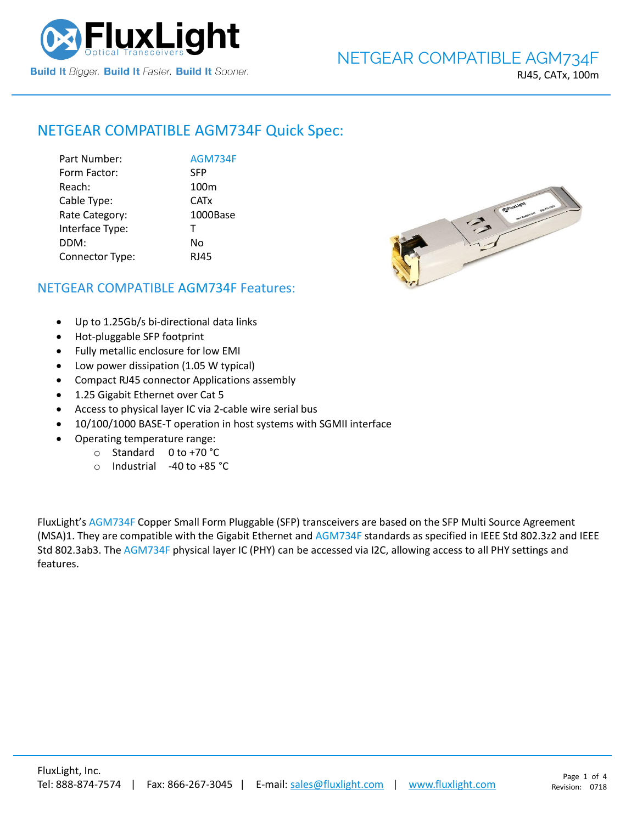

# NETGEAR COMPATIBLE [AGM734F](https://www.fluxlight.com/agm734f/) Quick Spec:

| Part Number:    | <b>AGM734F</b>   |
|-----------------|------------------|
| Form Factor:    | <b>SFP</b>       |
| Reach:          | 100 <sub>m</sub> |
| Cable Type:     | <b>CATx</b>      |
| Rate Category:  | 1000Base         |
| Interface Type: | т                |
| DDM:            | No               |
| Connector Type: | <b>RJ45</b>      |



## NETGEAR COMPATIBLE [AGM734F](https://www.fluxlight.com/agm734f/) Features:

- Up to 1.25Gb/s bi-directional data links
- Hot-pluggable SFP footprint
- Fully metallic enclosure for low EMI
- Low power dissipation (1.05 W typical)
- Compact RJ45 connector Applications assembly
- 1.25 Gigabit Ethernet over Cat 5
- Access to physical layer IC via 2-cable wire serial bus
- 10/100/1000 BASE-T operation in host systems with SGMII interface
- Operating temperature range:
	- o Standard 0 to +70 °C
	- o Industrial -40 to +85 °C

FluxLight's [AGM734F](https://www.fluxlight.com/agm734f/) Copper Small Form Pluggable (SFP) transceivers are based on the SFP Multi Source Agreement (MSA)1. They are compatible with the Gigabit Ethernet and [AGM734F](https://www.fluxlight.com/agm734f/) standards as specified in IEEE Std 802.3z2 and IEEE Std 802.3ab3. The [AGM734F](https://www.fluxlight.com/agm734f/) physical layer IC (PHY) can be accessed via I2C, allowing access to all PHY settings and features.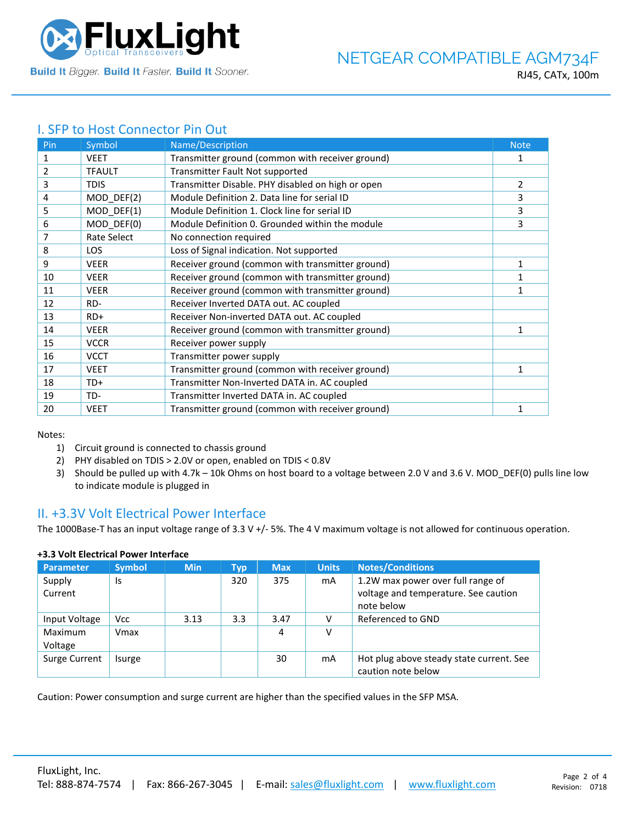

## I. SFP to Host Connector Pin Out

| Pin | Symbol        | Name/Description                                  | <b>Note</b>  |
|-----|---------------|---------------------------------------------------|--------------|
| 1   | <b>VEET</b>   | Transmitter ground (common with receiver ground)  | 1            |
| 2   | <b>TFAULT</b> | Transmitter Fault Not supported                   |              |
| 3   | <b>TDIS</b>   | Transmitter Disable. PHY disabled on high or open | 2            |
| 4   | MOD_DEF(2)    | Module Definition 2. Data line for serial ID      | 3            |
| 5   | MOD_DEF(1)    | Module Definition 1. Clock line for serial ID     | 3            |
| 6   | MOD DEF(0)    | Module Definition 0. Grounded within the module   | 3            |
| 7   | Rate Select   | No connection required                            |              |
| 8   | <b>LOS</b>    | Loss of Signal indication. Not supported          |              |
| 9   | <b>VEER</b>   | Receiver ground (common with transmitter ground)  | 1            |
| 10  | <b>VEER</b>   | Receiver ground (common with transmitter ground)  |              |
| 11  | <b>VEER</b>   | Receiver ground (common with transmitter ground)  | 1            |
| 12  | RD-           | Receiver Inverted DATA out. AC coupled            |              |
| 13  | $RD+$         | Receiver Non-inverted DATA out. AC coupled        |              |
| 14  | <b>VEER</b>   | Receiver ground (common with transmitter ground)  | 1            |
| 15  | <b>VCCR</b>   | Receiver power supply                             |              |
| 16  | <b>VCCT</b>   | Transmitter power supply                          |              |
| 17  | <b>VEET</b>   | Transmitter ground (common with receiver ground)  | 1            |
| 18  | TD+           | Transmitter Non-Inverted DATA in. AC coupled      |              |
| 19  | TD-           | Transmitter Inverted DATA in. AC coupled          |              |
| 20  | <b>VEET</b>   | Transmitter ground (common with receiver ground)  | $\mathbf{1}$ |

Notes:

- 1) Circuit ground is connected to chassis ground
- 2) PHY disabled on TDIS > 2.0V or open, enabled on TDIS < 0.8V
- 3) Should be pulled up with 4.7k 10k Ohms on host board to a voltage between 2.0 V and 3.6 V. MOD\_DEF(0) pulls line low to indicate module is plugged in

### II. +3.3V Volt Electrical Power Interface

The 1000Base-T has an input voltage range of 3.3 V +/- 5%. The 4 V maximum voltage is not allowed for continuous operation.

| <b>Parameter</b>   | <b>Symbol</b> | <b>Min</b> | Typ | <b>Max</b> | <b>Units</b> | <b>Notes/Conditions</b>                                                                 |
|--------------------|---------------|------------|-----|------------|--------------|-----------------------------------------------------------------------------------------|
| Supply<br>Current  | Is            |            | 320 | 375        | mA           | 1.2W max power over full range of<br>voltage and temperature. See caution<br>note below |
| Input Voltage      | <b>Vcc</b>    | 3.13       | 3.3 | 3.47       |              | Referenced to GND                                                                       |
| Maximum<br>Voltage | Vmax          |            |     | 4          | ν            |                                                                                         |
| Surge Current      | Isurge        |            |     | 30         | mA           | Hot plug above steady state current. See<br>caution note below                          |

### **+3.3 Volt Electrical Power Interface**

Caution: Power consumption and surge current are higher than the specified values in the SFP MSA.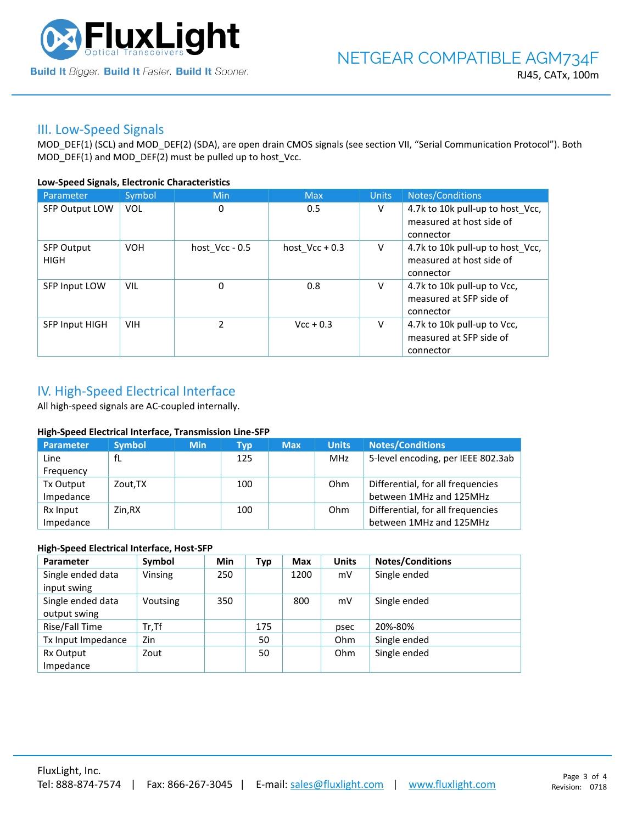

### III. Low-Speed Signals

MOD\_DEF(1) (SCL) and MOD\_DEF(2) (SDA), are open drain CMOS signals (see section VII, "Serial Communication Protocol"). Both MOD\_DEF(1) and MOD\_DEF(2) must be pulled up to host\_Vcc.

### **Low-Speed Signals, Electronic Characteristics**

| Parameter                        | Symbol     | Min              | <b>Max</b>       | <b>Units</b> | Notes/Conditions                                                          |
|----------------------------------|------------|------------------|------------------|--------------|---------------------------------------------------------------------------|
| <b>SFP Output LOW</b>            | <b>VOL</b> | 0                | 0.5              | V            | 4.7k to 10k pull-up to host_Vcc,<br>measured at host side of<br>connector |
| <b>SFP Output</b><br><b>HIGH</b> | <b>VOH</b> | host $Vcc - 0.5$ | host $Vec + 0.3$ | V            | 4.7k to 10k pull-up to host Vcc,<br>measured at host side of<br>connector |
| SFP Input LOW                    | <b>VIL</b> | 0                | 0.8              | V            | 4.7k to 10k pull-up to Vcc,<br>measured at SFP side of<br>connector       |
| <b>SFP Input HIGH</b>            | <b>VIH</b> | $\mathcal{P}$    | $Vcc + 0.3$      | V            | 4.7k to 10k pull-up to Vcc,<br>measured at SFP side of<br>connector       |

# IV. High-Speed Electrical Interface

All high-speed signals are AC-coupled internally.

#### **High-Speed Electrical Interface, Transmission Line-SFP**

| Parameter | <b>Symbol</b> | <b>Min</b> | Typ | <b>Max</b> | <b>Units</b> | <b>Notes/Conditions</b>            |
|-----------|---------------|------------|-----|------------|--------------|------------------------------------|
| Line      | fL            |            | 125 |            | MHz          | 5-level encoding, per IEEE 802.3ab |
| Frequency |               |            |     |            |              |                                    |
| Tx Output | Zout.TX       |            | 100 |            | Ohm          | Differential, for all frequencies  |
| Impedance |               |            |     |            |              | between 1MHz and 125MHz            |
| Rx Input  | Zin.RX        |            | 100 |            | Ohm          | Differential, for all frequencies  |
| Impedance |               |            |     |            |              | between 1MHz and 125MHz            |

#### **High-Speed Electrical Interface, Host-SFP**

| Parameter          | Symbol   | <b>Min</b> | <b>Typ</b> | <b>Max</b> | <b>Units</b> | <b>Notes/Conditions</b> |
|--------------------|----------|------------|------------|------------|--------------|-------------------------|
| Single ended data  | Vinsing  | 250        |            | 1200       | mV           | Single ended            |
| input swing        |          |            |            |            |              |                         |
| Single ended data  | Voutsing | 350        |            | 800        | mV           | Single ended            |
| output swing       |          |            |            |            |              |                         |
| Rise/Fall Time     | $Tr.$ Tf |            | 175        |            | psec         | 20%-80%                 |
| Tx Input Impedance | Zin      |            | 50         |            | <b>Ohm</b>   | Single ended            |
| Rx Output          | Zout     |            | 50         |            | <b>Ohm</b>   | Single ended            |
| Impedance          |          |            |            |            |              |                         |